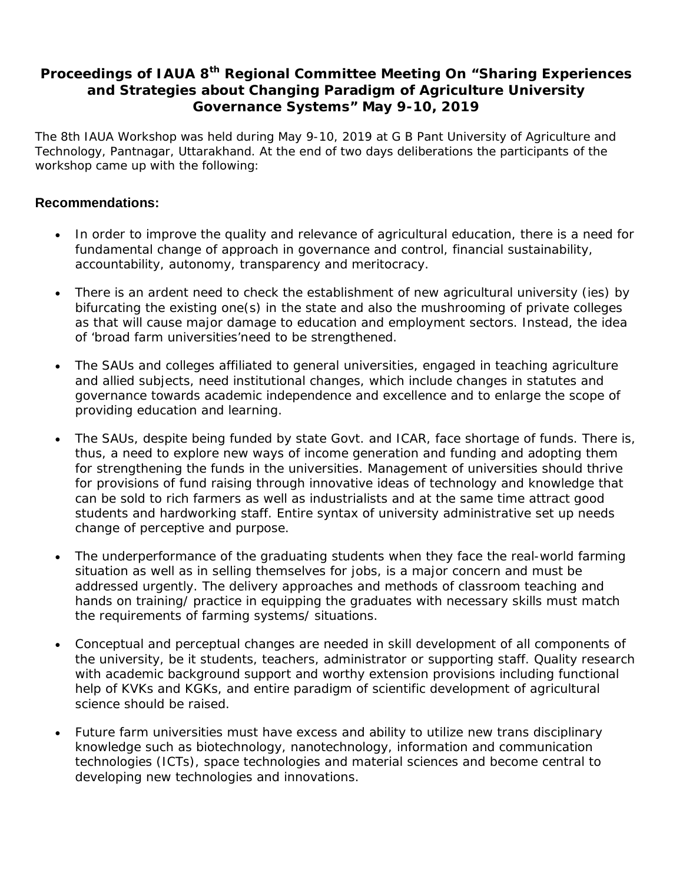## **Proceedings of IAUA 8th Regional Committee Meeting On "Sharing Experiences and Strategies about Changing Paradigm of Agriculture University Governance Systems" May 9-10, 2019**

The 8th IAUA Workshop was held during May 9-10, 2019 at G B Pant University of Agriculture and Technology, Pantnagar, Uttarakhand. At the end of two days deliberations the participants of the workshop came up with the following:

## **Recommendations:**

- In order to improve the quality and relevance of agricultural education, there is a need for fundamental change of approach in governance and control, financial sustainability, accountability, autonomy, transparency and meritocracy.
- There is an ardent need to check the establishment of new agricultural university (ies) by bifurcating the existing one(s) in the state and also the mushrooming of private colleges as that will cause major damage to education and employment sectors. Instead, the idea of 'broad farm universities'need to be strengthened.
- The SAUs and colleges affiliated to general universities, engaged in teaching agriculture and allied subjects, need institutional changes, which include changes in statutes and governance towards academic independence and excellence and to enlarge the scope of providing education and learning.
- The SAUs, despite being funded by state Govt. and ICAR, face shortage of funds. There is, thus, a need to explore new ways of income generation and funding and adopting them for strengthening the funds in the universities. Management of universities should thrive for provisions of fund raising through innovative ideas of technology and knowledge that can be sold to rich farmers as well as industrialists and at the same time attract good students and hardworking staff. Entire syntax of university administrative set up needs change of perceptive and purpose.
- The underperformance of the graduating students when they face the real-world farming situation as well as in selling themselves for jobs, is a major concern and must be addressed urgently. The delivery approaches and methods of classroom teaching and hands on training/ practice in equipping the graduates with necessary skills must match the requirements of farming systems/ situations.
- Conceptual and perceptual changes are needed in skill development of all components of the university, be it students, teachers, administrator or supporting staff. Quality research with academic background support and worthy extension provisions including functional help of KVKs and KGKs, and entire paradigm of scientific development of agricultural science should be raised.
- Future farm universities must have excess and ability to utilize new trans disciplinary knowledge such as biotechnology, nanotechnology, information and communication technologies (ICTs), space technologies and material sciences and become central to developing new technologies and innovations.